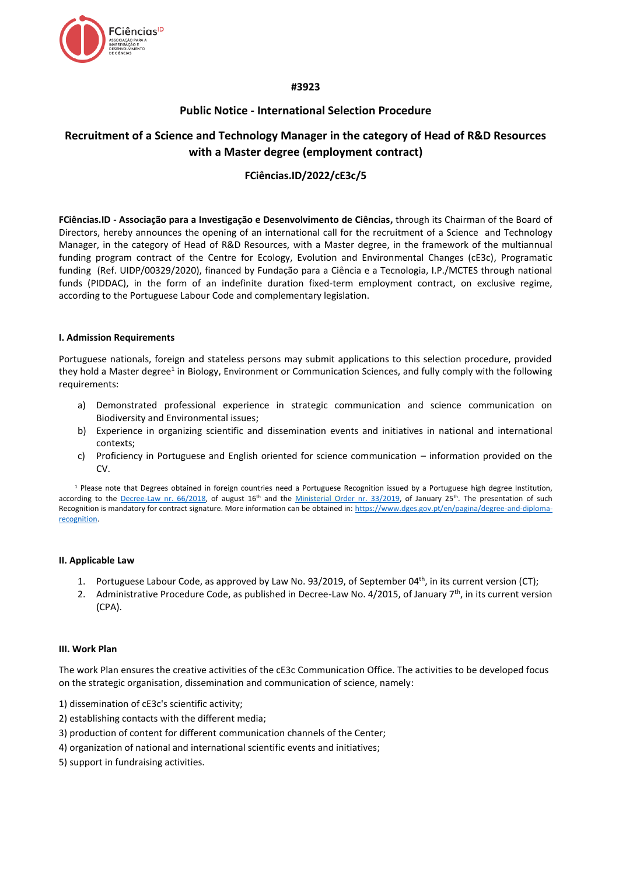

## **#3923**

# **Public Notice - International Selection Procedure**

# **Recruitment of a Science and Technology Manager in the category of Head of R&D Resources with a Master degree (employment contract)**

# **FCiências.ID/2022/cE3c/5**

**FCiências.ID - Associação para a Investigação e Desenvolvimento de Ciências,** through its Chairman of the Board of Directors, hereby announces the opening of an international call for the recruitment of a Science and Technology Manager, in the category of Head of R&D Resources, with a Master degree, in the framework of the multiannual funding program contract of the Centre for Ecology, Evolution and Environmental Changes (cE3c), Programatic funding (Ref. UIDP/00329/2020), financed by Fundação para a Ciência e a Tecnologia, I.P./MCTES through national funds (PIDDAC), in the form of an indefinite duration fixed-term employment contract, on exclusive regime, according to the Portuguese Labour Code and complementary legislation.

### **I. Admission Requirements**

Portuguese nationals, foreign and stateless persons may submit applications to this selection procedure, provided they hold a Master degree<sup>1</sup> in Biology, Environment or Communication Sciences, and fully comply with the following requirements:

- a) Demonstrated professional experience in strategic communication and science communication on Biodiversity and Environmental issues;
- b) Experience in organizing scientific and dissemination events and initiatives in national and international contexts;
- c) Proficiency in Portuguese and English oriented for science communication information provided on the CV.

 $1$  Please note that Degrees obtained in foreign countries need a Portuguese Recognition issued by a Portuguese high degree Institution, according to the [Decree-Law nr. 66/2018,](https://dre.pt/web/guest/pesquisa/-/search/116068880/details/maximized?res=en) of august 16<sup>th</sup> and the [Ministerial Order nr. 33/2019,](https://dre.pt/web/guest/pesquisa/-/search/118484592/details/normal?q=portaria+33%2F2019) of January 25<sup>th</sup>. The presentation of such Recognition is mandatory for contract signature. More information can be obtained in[: https://www.dges.gov.pt/en/pagina/degree-and-diploma](https://www.dges.gov.pt/en/pagina/degree-and-diploma-recognition)[recognition.](https://www.dges.gov.pt/en/pagina/degree-and-diploma-recognition)

#### **II. Applicable Law**

- 1. Portuguese Labour Code, as approved by Law No. 93/2019, of September 04<sup>th</sup>, in its current version (CT);
- 2. Administrative Procedure Code, as published in Decree-Law No. 4/2015, of January  $7<sup>th</sup>$ , in its current version (CPA).

### **III. Work Plan**

The work Plan ensures the creative activities of the cE3c Communication Office. The activities to be developed focus on the strategic organisation, dissemination and communication of science, namely:

- 1) dissemination of cE3c's scientific activity;
- 2) establishing contacts with the different media;
- 3) production of content for different communication channels of the Center;
- 4) organization of national and international scientific events and initiatives;
- 5) support in fundraising activities.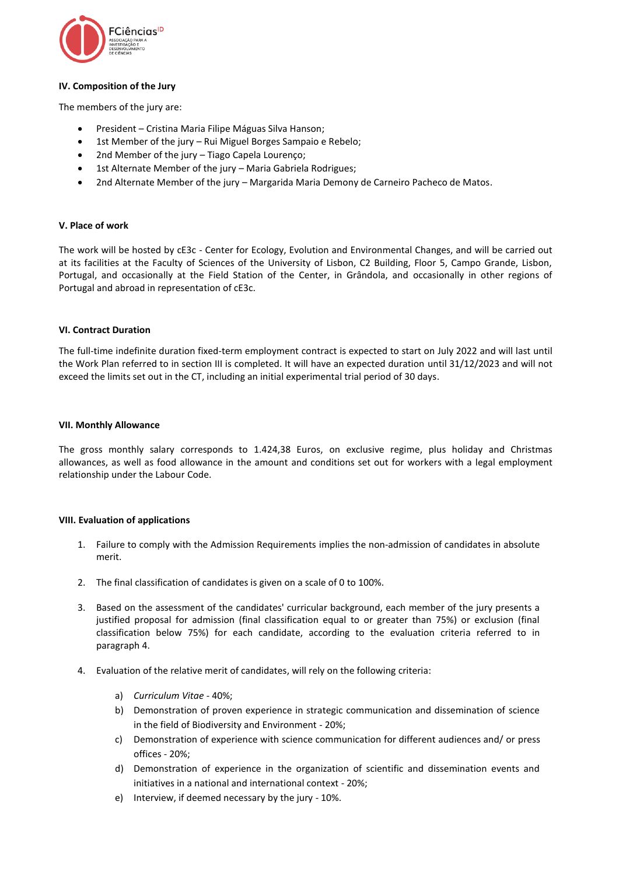

### **IV. Composition of the Jury**

The members of the jury are:

- President Cristina Maria Filipe Máguas Silva Hanson;
- 1st Member of the jury Rui Miguel Borges Sampaio e Rebelo;
- 2nd Member of the jury Tiago Capela Lourenco:
- 1st Alternate Member of the jury Maria Gabriela Rodrigues;
- 2nd Alternate Member of the jury Margarida Maria Demony de Carneiro Pacheco de Matos.

#### **V. Place of work**

The work will be hosted by cE3c - Center for Ecology, Evolution and Environmental Changes, and will be carried out at its facilities at the Faculty of Sciences of the University of Lisbon, C2 Building, Floor 5, Campo Grande, Lisbon, Portugal, and occasionally at the Field Station of the Center, in Grândola, and occasionally in other regions of Portugal and abroad in representation of cE3c.

#### **VI. Contract Duration**

The full-time indefinite duration fixed-term employment contract is expected to start on July 2022 and will last until the Work Plan referred to in section III is completed. It will have an expected duration until 31/12/2023 and will not exceed the limits set out in the CT, including an initial experimental trial period of 30 days.

#### **VII. Monthly Allowance**

The gross monthly salary corresponds to 1.424,38 Euros, on exclusive regime, plus holiday and Christmas allowances, as well as food allowance in the amount and conditions set out for workers with a legal employment relationship under the Labour Code.

### **VIII. Evaluation of applications**

- 1. Failure to comply with the Admission Requirements implies the non-admission of candidates in absolute merit.
- 2. The final classification of candidates is given on a scale of 0 to 100%.
- 3. Based on the assessment of the candidates' curricular background, each member of the jury presents a justified proposal for admission (final classification equal to or greater than 75%) or exclusion (final classification below 75%) for each candidate, according to the evaluation criteria referred to in paragraph 4.
- 4. Evaluation of the relative merit of candidates, will rely on the following criteria:
	- a) *Curriculum Vitae* 40%;
	- b) Demonstration of proven experience in strategic communication and dissemination of science in the field of Biodiversity and Environment - 20%;
	- c) Demonstration of experience with science communication for different audiences and/ or press offices - 20%;
	- d) Demonstration of experience in the organization of scientific and dissemination events and initiatives in a national and international context - 20%;
	- e) Interview, if deemed necessary by the jury 10%.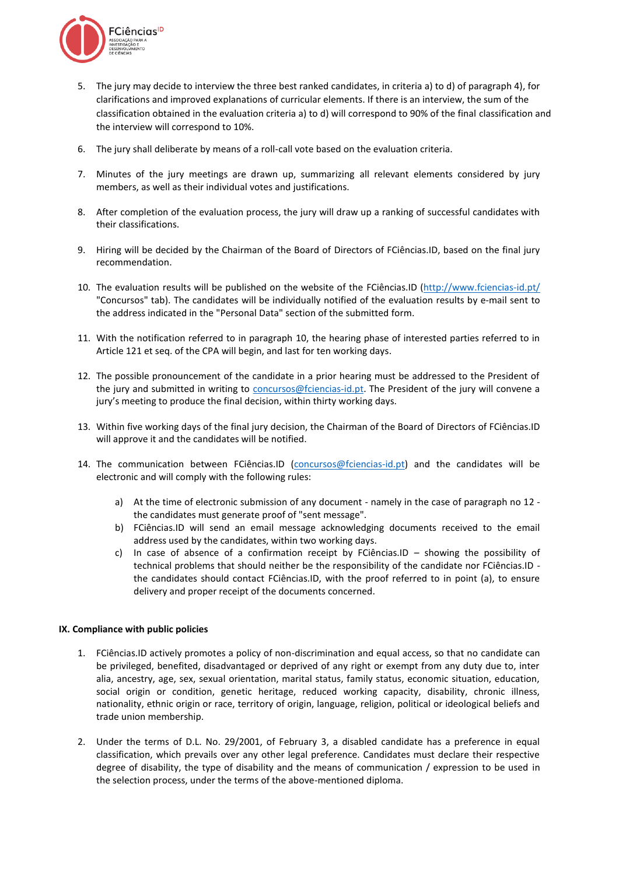

- 5. The jury may decide to interview the three best ranked candidates, in criteria a) to d) of paragraph 4), for clarifications and improved explanations of curricular elements. If there is an interview, the sum of the classification obtained in the evaluation criteria a) to d) will correspond to 90% of the final classification and the interview will correspond to 10%.
- 6. The jury shall deliberate by means of a roll-call vote based on the evaluation criteria.
- 7. Minutes of the jury meetings are drawn up, summarizing all relevant elements considered by jury members, as well as their individual votes and justifications.
- 8. After completion of the evaluation process, the jury will draw up a ranking of successful candidates with their classifications.
- 9. Hiring will be decided by the Chairman of the Board of Directors of FCiências.ID, based on the final jury recommendation.
- 10. The evaluation results will be published on the website of the FCiências.ID [\(http://www.fciencias-id.pt/](http://www.fciencias-id.pt/) "Concursos" tab). The candidates will be individually notified of the evaluation results by e-mail sent to the address indicated in the "Personal Data" section of the submitted form.
- 11. With the notification referred to in paragraph 10, the hearing phase of interested parties referred to in Article 121 et seq. of the CPA will begin, and last for ten working days.
- 12. The possible pronouncement of the candidate in a prior hearing must be addressed to the President of the jury and submitted in writing to [concursos@fciencias-id.pt.](mailto:concursos@fciencias-id.pt) The President of the jury will convene a jury's meeting to produce the final decision, within thirty working days.
- 13. Within five working days of the final jury decision, the Chairman of the Board of Directors of FCiências.ID will approve it and the candidates will be notified.
- 14. The communication between FCiências.ID [\(concursos@fciencias-id.pt\)](mailto:concursos@fciencias-id.pt) and the candidates will be electronic and will comply with the following rules:
	- a) At the time of electronic submission of any document namely in the case of paragraph no 12 the candidates must generate proof of "sent message".
	- b) FCiências.ID will send an email message acknowledging documents received to the email address used by the candidates, within two working days.
	- c) In case of absence of a confirmation receipt by FCiências.ID showing the possibility of technical problems that should neither be the responsibility of the candidate nor FCiências.ID the candidates should contact FCiências.ID, with the proof referred to in point (a), to ensure delivery and proper receipt of the documents concerned.

### **IX. Compliance with public policies**

- 1. FCiências.ID actively promotes a policy of non-discrimination and equal access, so that no candidate can be privileged, benefited, disadvantaged or deprived of any right or exempt from any duty due to, inter alia, ancestry, age, sex, sexual orientation, marital status, family status, economic situation, education, social origin or condition, genetic heritage, reduced working capacity, disability, chronic illness, nationality, ethnic origin or race, territory of origin, language, religion, political or ideological beliefs and trade union membership.
- 2. Under the terms of D.L. No. 29/2001, of February 3, a disabled candidate has a preference in equal classification, which prevails over any other legal preference. Candidates must declare their respective degree of disability, the type of disability and the means of communication / expression to be used in the selection process, under the terms of the above-mentioned diploma.